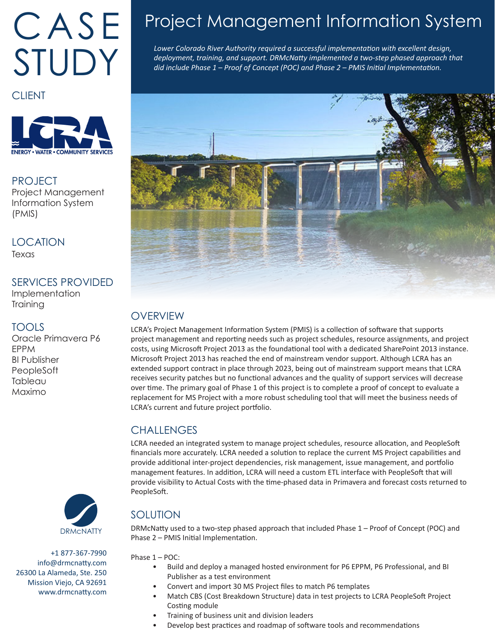# CASE STUDY

**CLIENT** 



#### PROJECT Project Management Information System (PMIS)

**LOCATION** Texas

#### SERVICES PROVIDED

Implementation **Training** 

#### TOOLS

Oracle Primavera P6 EPPM BI Publisher **PeopleSoft Tableau** Maximo



+1 877-367-7990 info@drmcnatty.com 26300 La Alameda, Ste. 250 Mission Viejo, CA 92691 www.drmcnatty.com

# Project Management Information System

*Lower Colorado River Authority required a successful implementation with excellent design, deployment, training, and support. DRMcNatty implemented a two-step phased approach that did include Phase 1 – Proof of Concept (POC) and Phase 2 – PMIS Initial Implementation.* 



## **OVERVIEW**

LCRA's Project Management Information System (PMIS) is a collection of software that supports project management and reporting needs such as project schedules, resource assignments, and project costs, using Microsoft Project 2013 as the foundational tool with a dedicated SharePoint 2013 instance. Microsoft Project 2013 has reached the end of mainstream vendor support. Although LCRA has an extended support contract in place through 2023, being out of mainstream support means that LCRA receives security patches but no functional advances and the quality of support services will decrease over time. The primary goal of Phase 1 of this project is to complete a proof of concept to evaluate a replacement for MS Project with a more robust scheduling tool that will meet the business needs of LCRA's current and future project portfolio.

### **CHALLENGES**

LCRA needed an integrated system to manage project schedules, resource allocation, and PeopleSoft financials more accurately. LCRA needed a solution to replace the current MS Project capabilities and provide additional inter-project dependencies, risk management, issue management, and portfolio management features. In addition, LCRA will need a custom ETL interface with PeopleSoft that will provide visibility to Actual Costs with the time-phased data in Primavera and forecast costs returned to PeopleSoft.

## SOLUTION

DRMcNatty used to a two-step phased approach that included Phase 1 – Proof of Concept (POC) and Phase 2 – PMIS Initial Implementation.

Phase 1 – POC:

- Build and deploy a managed hosted environment for P6 EPPM, P6 Professional, and BI Publisher as a test environment
- Convert and import 30 MS Project files to match P6 templates
- Match CBS (Cost Breakdown Structure) data in test projects to LCRA PeopleSoft Project Costing module
- Training of business unit and division leaders
	- Develop best practices and roadmap of software tools and recommendations